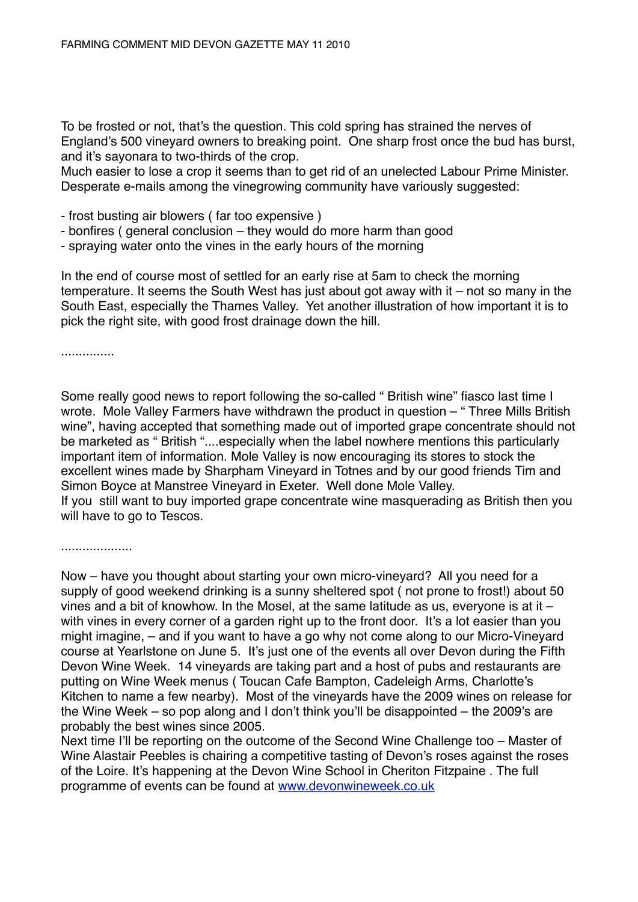To be frosted or not, that's the question. This cold spring has strained the nerves of England's 500 vineyard owners to breaking point. One sharp frost once the bud has burst, and it's sayonara to two-thirds of the crop.

Much easier to lose a crop it seems than to get rid of an unelected Labour Prime Minister. Desperate e-mails among the vinegrowing community have variously suggested:

- frost busting air blowers ( far too expensive )
- bonfires ( general conclusion they would do more harm than good
- spraying water onto the vines in the early hours of the morning

In the end of course most of settled for an early rise at 5am to check the morning temperature. It seems the South West has just about got away with it – not so many in the South East, especially the Thames Valley. Yet another illustration of how important it is to pick the right site, with good frost drainage down the hill.

...............

Some really good news to report following the so-called " British wine" fiasco last time I wrote. Mole Valley Farmers have withdrawn the product in question – " Three Mills British wine", having accepted that something made out of imported grape concentrate should not be marketed as " British "....especially when the label nowhere mentions this particularly important item of information. Mole Valley is now encouraging its stores to stock the excellent wines made by Sharpham Vineyard in Totnes and by our good friends Tim and Simon Boyce at Manstree Vineyard in Exeter. Well done Mole Valley. If you still want to buy imported grape concentrate wine masquerading as British then you will have to go to Tescos.

....................

Now – have you thought about starting your own micro-vineyard? All you need for a supply of good weekend drinking is a sunny sheltered spot ( not prone to frost!) about 50 vines and a bit of knowhow. In the Mosel, at the same latitude as us, everyone is at it – with vines in every corner of a garden right up to the front door. It's a lot easier than you might imagine, – and if you want to have a go why not come along to our Micro-Vineyard course at Yearlstone on June 5. It's just one of the events all over Devon during the Fifth Devon Wine Week. 14 vineyards are taking part and a host of pubs and restaurants are putting on Wine Week menus ( Toucan Cafe Bampton, Cadeleigh Arms, Charlotte's Kitchen to name a few nearby). Most of the vineyards have the 2009 wines on release for the Wine Week – so pop along and I don't think you'll be disappointed – the 2009's are probably the best wines since 2005.

Next time I'll be reporting on the outcome of the Second Wine Challenge too – Master of Wine Alastair Peebles is chairing a competitive tasting of Devon's roses against the roses of the Loire. It's happening at the Devon Wine School in Cheriton Fitzpaine . The full programme of events can be found at [www.devonwineweek.co.uk](http://www.devonwineweek.co.uk)